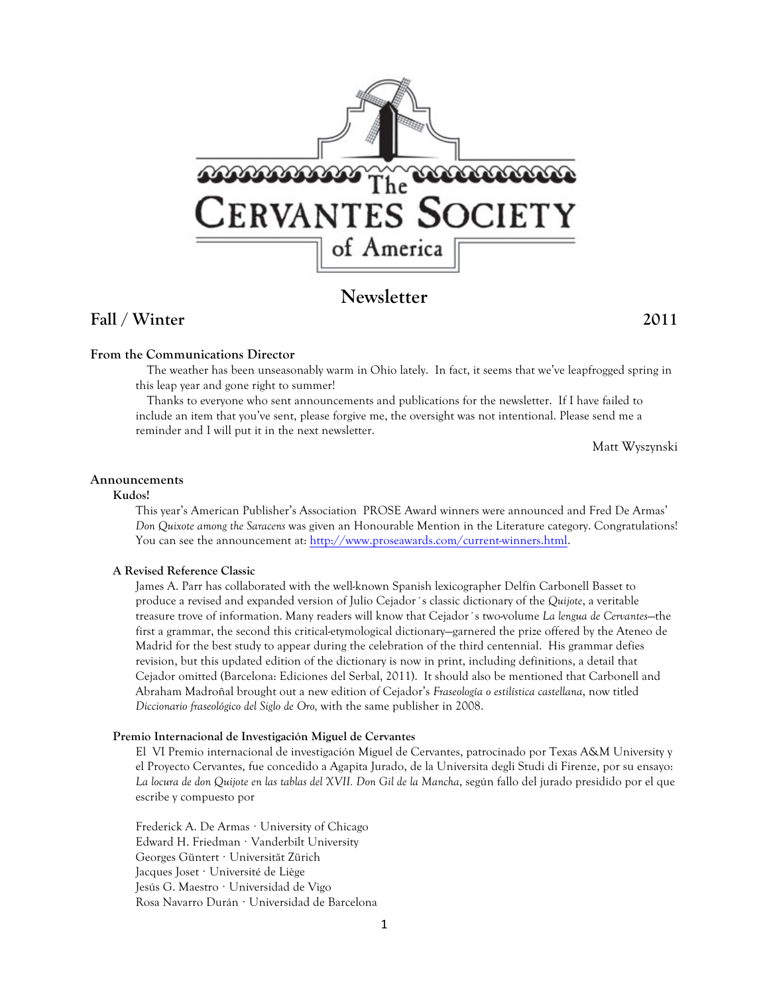

# **Newsletter**

# **Fall / Winter 2011**

## **From the Communications Director**

The weather has been unseasonably warm in Ohio lately. In fact, it seems that we've leapfrogged spring in this leap year and gone right to summer!

Thanks to everyone who sent announcements and publications for the newsletter. If I have failed to include an item that you've sent, please forgive me, the oversight was not intentional. Please send me a reminder and I will put it in the next newsletter.

Matt Wyszynski

#### **Announcements**

#### **Kudos!**

This year's American Publisher's Association PROSE Award winners were announced and Fred De Armas' *Don Quixote among the Saracens* was given an Honourable Mention in the Literature category. Congratulations! You can see the announcement at: http://www.proseawards.com/current-winners.html.

### **A Revised Reference Classic**

James A. Parr has collaborated with the well-known Spanish lexicographer Delfín Carbonell Basset to produce a revised and expanded version of Julio Cejador´s classic dictionary of the *Quijote*, a veritable treasure trove of information. Many readers will know that Cejador´s two-volume *La lengua de Cervantes*—the first a grammar, the second this critical-etymological dictionary—garnered the prize offered by the Ateneo de Madrid for the best study to appear during the celebration of the third centennial. His grammar defies revision, but this updated edition of the dictionary is now in print, including definitions, a detail that Cejador omitted (Barcelona: Ediciones del Serbal, 2011). It should also be mentioned that Carbonell and Abraham Madroñal brought out a new edition of Cejador's *Fraseología o estilística castellana*, now titled *Diccionario fraseológico del Siglo de Oro,* with the same publisher in 2008.

#### **Premio Internacional de Investigación Miguel de Cervantes**

El VI Premio internacional de investigación Miguel de Cervantes, patrocinado por Texas A&M University y el Proyecto Cervantes, fue concedido a Agapita Jurado, de la Universita degli Studi di Firenze, por su ensayo: *La locura de don Quijote en las tablas del XVII. Don Gil de la Mancha*, según fallo del jurado presidido por el que escribe y compuesto por

Frederick A. De Armas · University of Chicago Edward H. Friedman · Vanderbilt University Georges Güntert · Universität Zürich Jacques Joset · Université de Liège Jesús G. Maestro · Universidad de Vigo Rosa Navarro Durán · Universidad de Barcelona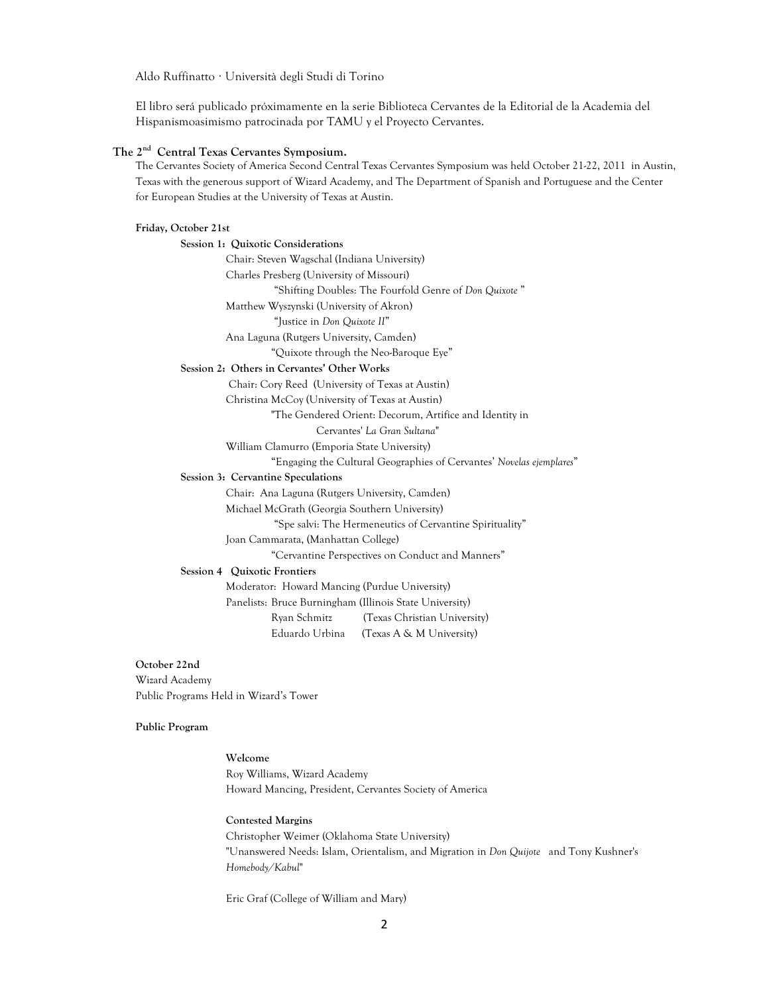Aldo Ruffinatto · Università degli Studi di Torino

El libro será publicado próximamente en la serie Biblioteca Cervantes de la Editorial de la Academia del Hispanismoasimismo patrocinada por TAMU y el Proyecto Cervantes.

### **The 2nd Central Texas Cervantes Symposium.**

The Cervantes Society of America Second Central Texas Cervantes Symposium was held October 21-22, 2011 in Austin, Texas with the generous support of Wizard Academy, and The Department of Spanish and Portuguese and the Center for European Studies at the University of Texas at Austin.

#### **Friday, October 21st**

**Session 1: Quixotic Considerations** Chair: Steven Wagschal (Indiana University) Charles Presberg (University of Missouri) "Shifting Doubles: The Fourfold Genre of *Don Quixote* " Matthew Wyszynski (University of Akron) "Justice in *Don Quixote II*" Ana Laguna (Rutgers University, Camden) "Quixote through the Neo-Baroque Eye" **Session 2: Others in Cervantes' Other Works** Chair: Cory Reed (University of Texas at Austin) Christina McCoy (University of Texas at Austin) "The Gendered Orient: Decorum, Artifice and Identity in Cervantes' *La Gran Sultana*" William Clamurro (Emporia State University) "Engaging the Cultural Geographies of Cervantes' *Novelas ejemplares*" **Session 3: Cervantine Speculations** Chair: Ana Laguna (Rutgers University, Camden) Michael McGrath (Georgia Southern University) "Spe salvi: The Hermeneutics of Cervantine Spirituality" Joan Cammarata, (Manhattan College) "Cervantine Perspectives on Conduct and Manners" **Session 4 Quixotic Frontiers** Moderator: Howard Mancing (Purdue University) Panelists: Bruce Burningham (Illinois State University) Ryan Schmitz (Texas Christian University) Eduardo Urbina (Texas A & M University)

**October 22nd** Wizard Academy Public Programs Held in Wizard's Tower

## **Public Program**

**Welcome** Roy Williams, Wizard Academy Howard Mancing, President, Cervantes Society of America

**Contested Margins** Christopher Weimer (Oklahoma State University) "Unanswered Needs: Islam, Orientalism, and Migration in *Don Quijote* and Tony Kushner's *Homebody/Kabul*"

Eric Graf (College of William and Mary)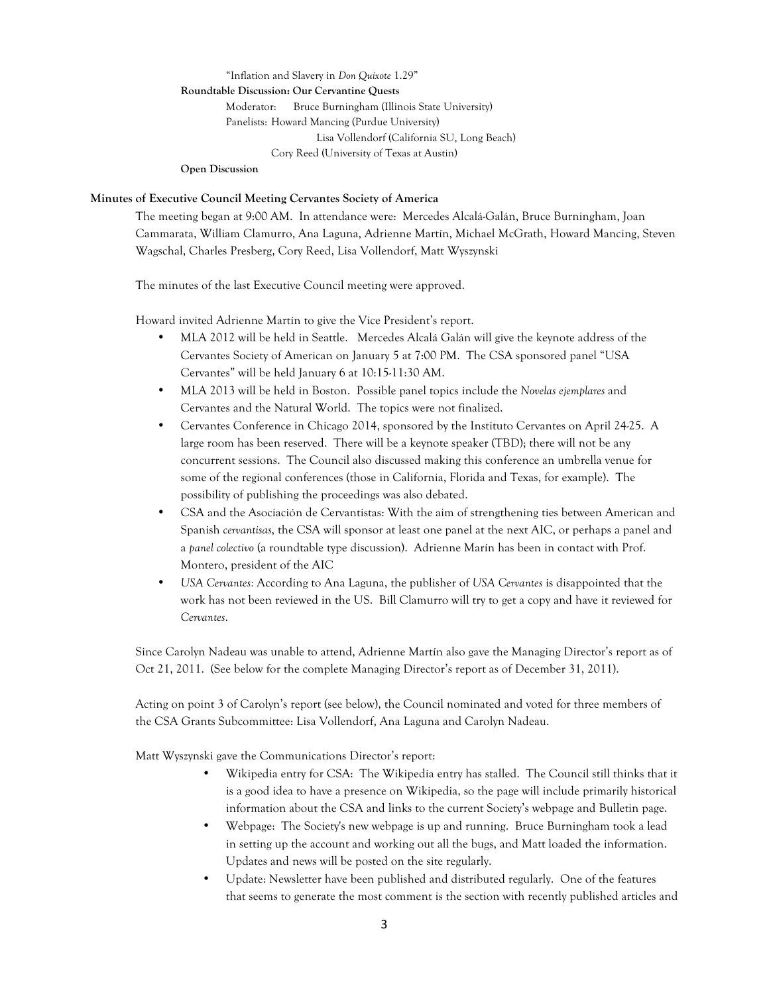#### "Inflation and Slavery in *Don Quixote* 1.29" **Roundtable Discussion: Our Cervantine Quests**

Moderator: Bruce Burningham (Illinois State University) Panelists: Howard Mancing (Purdue University) Lisa Vollendorf (California SU, Long Beach) Cory Reed (University of Texas at Austin)

**Open Discussion**

### **Minutes of Executive Council Meeting Cervantes Society of America**

The meeting began at 9:00 AM. In attendance were: Mercedes Alcalá-Galán, Bruce Burningham, Joan Cammarata, William Clamurro, Ana Laguna, Adrienne Martín, Michael McGrath, Howard Mancing, Steven Wagschal, Charles Presberg, Cory Reed, Lisa Vollendorf, Matt Wyszynski

The minutes of the last Executive Council meeting were approved.

Howard invited Adrienne Martín to give the Vice President's report.

- MLA 2012 will be held in Seattle. Mercedes Alcalá Galán will give the keynote address of the Cervantes Society of American on January 5 at 7:00 PM. The CSA sponsored panel "USA Cervantes" will be held January 6 at 10:15-11:30 AM.
- MLA 2013 will be held in Boston. Possible panel topics include the *Novelas ejemplares* and Cervantes and the Natural World. The topics were not finalized.
- Cervantes Conference in Chicago 2014, sponsored by the Instituto Cervantes on April 24-25. A large room has been reserved. There will be a keynote speaker (TBD); there will not be any concurrent sessions. The Council also discussed making this conference an umbrella venue for some of the regional conferences (those in California, Florida and Texas, for example). The possibility of publishing the proceedings was also debated.
- CSA and the Asociación de Cervantistas: With the aim of strengthening ties between American and Spanish *cervantisas*, the CSA will sponsor at least one panel at the next AIC, or perhaps a panel and a *panel colectivo* (a roundtable type discussion). Adrienne Marín has been in contact with Prof. Montero, president of the AIC
- *USA Cervantes:* According to Ana Laguna, the publisher of *USA Cervantes* is disappointed that the work has not been reviewed in the US. Bill Clamurro will try to get a copy and have it reviewed for *Cervantes*.

Since Carolyn Nadeau was unable to attend, Adrienne Martín also gave the Managing Director's report as of Oct 21, 2011. (See below for the complete Managing Director's report as of December 31, 2011).

Acting on point 3 of Carolyn's report (see below), the Council nominated and voted for three members of the CSA Grants Subcommittee: Lisa Vollendorf, Ana Laguna and Carolyn Nadeau.

Matt Wyszynski gave the Communications Director's report:

- Wikipedia entry for CSA: The Wikipedia entry has stalled. The Council still thinks that it is a good idea to have a presence on Wikipedia, so the page will include primarily historical information about the CSA and links to the current Society's webpage and Bulletin page.
- Webpage: The Society's new webpage is up and running. Bruce Burningham took a lead in setting up the account and working out all the bugs, and Matt loaded the information. Updates and news will be posted on the site regularly.
- Update: Newsletter have been published and distributed regularly. One of the features that seems to generate the most comment is the section with recently published articles and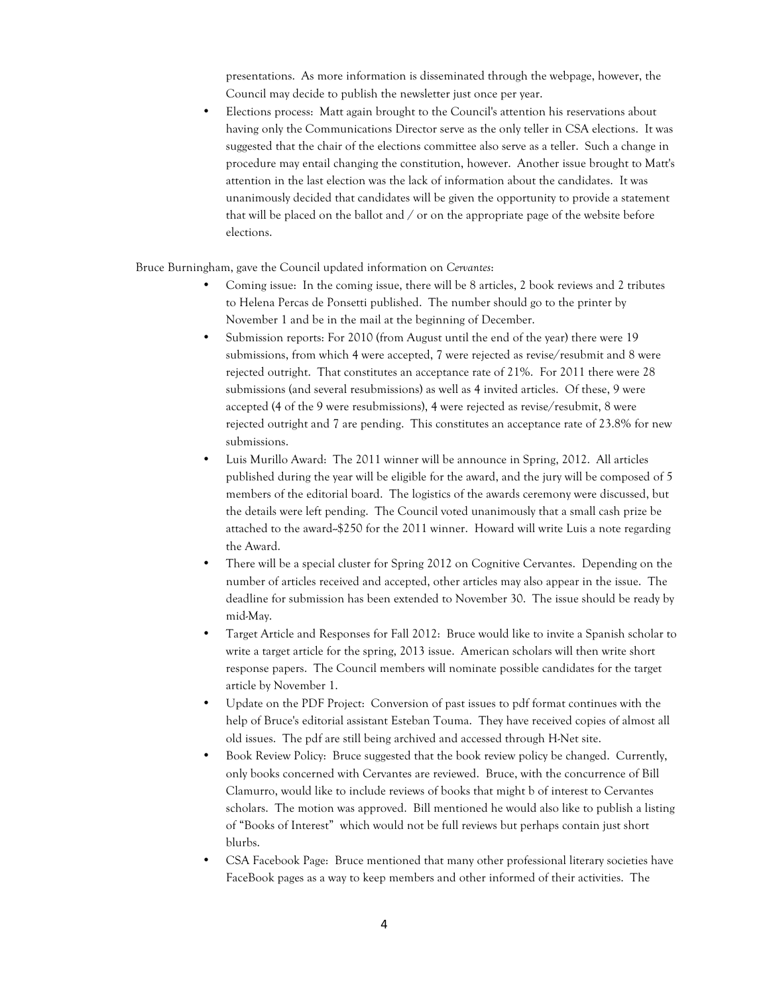presentations. As more information is disseminated through the webpage, however, the Council may decide to publish the newsletter just once per year.

• Elections process: Matt again brought to the Council's attention his reservations about having only the Communications Director serve as the only teller in CSA elections. It was suggested that the chair of the elections committee also serve as a teller. Such a change in procedure may entail changing the constitution, however. Another issue brought to Matt's attention in the last election was the lack of information about the candidates. It was unanimously decided that candidates will be given the opportunity to provide a statement that will be placed on the ballot and / or on the appropriate page of the website before elections.

Bruce Burningham, gave the Council updated information on *Cervantes*:

- Coming issue: In the coming issue, there will be 8 articles, 2 book reviews and 2 tributes to Helena Percas de Ponsetti published. The number should go to the printer by November 1 and be in the mail at the beginning of December.
- Submission reports: For 2010 (from August until the end of the year) there were 19 submissions, from which 4 were accepted, 7 were rejected as revise/resubmit and 8 were rejected outright. That constitutes an acceptance rate of 21%. For 2011 there were 28 submissions (and several resubmissions) as well as 4 invited articles. Of these, 9 were accepted (4 of the 9 were resubmissions), 4 were rejected as revise/resubmit, 8 were rejected outright and 7 are pending. This constitutes an acceptance rate of 23.8% for new submissions.
- Luis Murillo Award: The 2011 winner will be announce in Spring, 2012. All articles published during the year will be eligible for the award, and the jury will be composed of 5 members of the editorial board. The logistics of the awards ceremony were discussed, but the details were left pending. The Council voted unanimously that a small cash prize be attached to the award-\$250 for the 2011 winner. Howard will write Luis a note regarding the Award.
- There will be a special cluster for Spring 2012 on Cognitive Cervantes. Depending on the number of articles received and accepted, other articles may also appear in the issue. The deadline for submission has been extended to November 30. The issue should be ready by mid-May.
- Target Article and Responses for Fall 2012: Bruce would like to invite a Spanish scholar to write a target article for the spring, 2013 issue. American scholars will then write short response papers. The Council members will nominate possible candidates for the target article by November 1.
- Update on the PDF Project: Conversion of past issues to pdf format continues with the help of Bruce's editorial assistant Esteban Touma. They have received copies of almost all old issues. The pdf are still being archived and accessed through H-Net site.
- Book Review Policy: Bruce suggested that the book review policy be changed. Currently, only books concerned with Cervantes are reviewed. Bruce, with the concurrence of Bill Clamurro, would like to include reviews of books that might b of interest to Cervantes scholars. The motion was approved. Bill mentioned he would also like to publish a listing of "Books of Interest" which would not be full reviews but perhaps contain just short blurbs.
- CSA Facebook Page: Bruce mentioned that many other professional literary societies have FaceBook pages as a way to keep members and other informed of their activities. The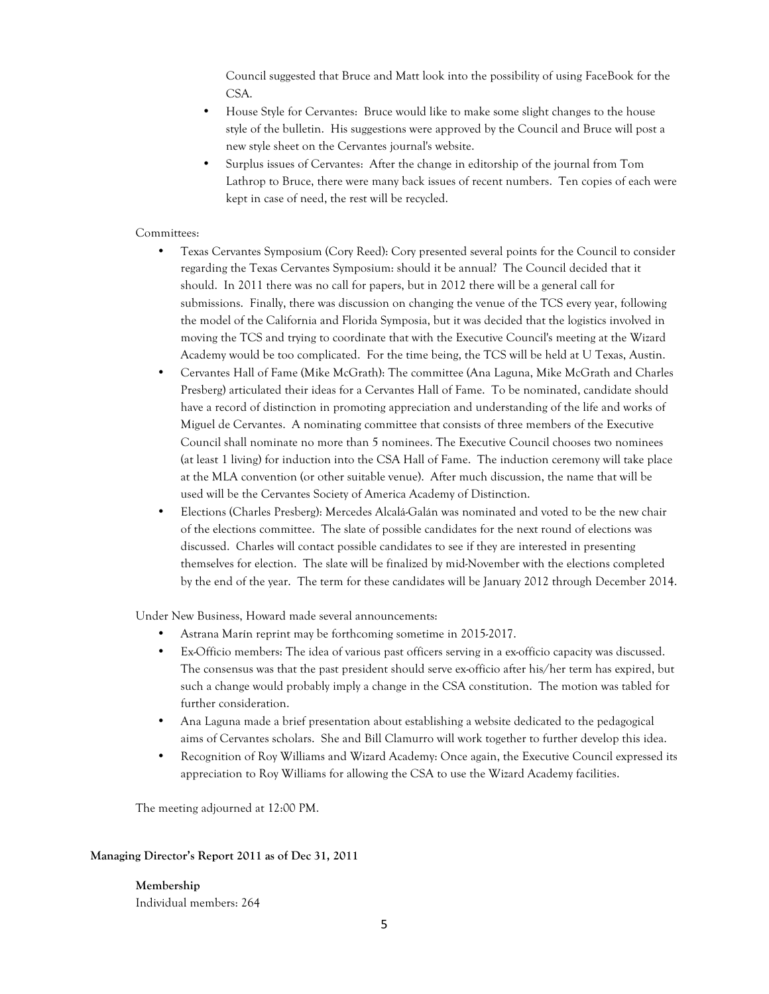Council suggested that Bruce and Matt look into the possibility of using FaceBook for the CSA.

- House Style for Cervantes: Bruce would like to make some slight changes to the house style of the bulletin. His suggestions were approved by the Council and Bruce will post a new style sheet on the Cervantes journal's website.
- Surplus issues of Cervantes: After the change in editorship of the journal from Tom Lathrop to Bruce, there were many back issues of recent numbers. Ten copies of each were kept in case of need, the rest will be recycled.

#### Committees:

- Texas Cervantes Symposium (Cory Reed): Cory presented several points for the Council to consider regarding the Texas Cervantes Symposium: should it be annual? The Council decided that it should. In 2011 there was no call for papers, but in 2012 there will be a general call for submissions. Finally, there was discussion on changing the venue of the TCS every year, following the model of the California and Florida Symposia, but it was decided that the logistics involved in moving the TCS and trying to coordinate that with the Executive Council's meeting at the Wizard Academy would be too complicated. For the time being, the TCS will be held at U Texas, Austin.
- Cervantes Hall of Fame (Mike McGrath): The committee (Ana Laguna, Mike McGrath and Charles Presberg) articulated their ideas for a Cervantes Hall of Fame. To be nominated, candidate should have a record of distinction in promoting appreciation and understanding of the life and works of Miguel de Cervantes. A nominating committee that consists of three members of the Executive Council shall nominate no more than 5 nominees. The Executive Council chooses two nominees (at least 1 living) for induction into the CSA Hall of Fame. The induction ceremony will take place at the MLA convention (or other suitable venue). After much discussion, the name that will be used will be the Cervantes Society of America Academy of Distinction.
- Elections (Charles Presberg): Mercedes Alcalá-Galán was nominated and voted to be the new chair of the elections committee. The slate of possible candidates for the next round of elections was discussed. Charles will contact possible candidates to see if they are interested in presenting themselves for election. The slate will be finalized by mid-November with the elections completed by the end of the year. The term for these candidates will be January 2012 through December 2014.

Under New Business, Howard made several announcements:

- Astrana Marín reprint may be forthcoming sometime in 2015-2017.
- Ex-Officio members: The idea of various past officers serving in a ex-officio capacity was discussed. The consensus was that the past president should serve ex-officio after his/her term has expired, but such a change would probably imply a change in the CSA constitution. The motion was tabled for further consideration.
- Ana Laguna made a brief presentation about establishing a website dedicated to the pedagogical aims of Cervantes scholars. She and Bill Clamurro will work together to further develop this idea.
- Recognition of Roy Williams and Wizard Academy: Once again, the Executive Council expressed its appreciation to Roy Williams for allowing the CSA to use the Wizard Academy facilities.

The meeting adjourned at 12:00 PM.

## **Managing Director's Report 2011 as of Dec 31, 2011**

**Membership** Individual members: 264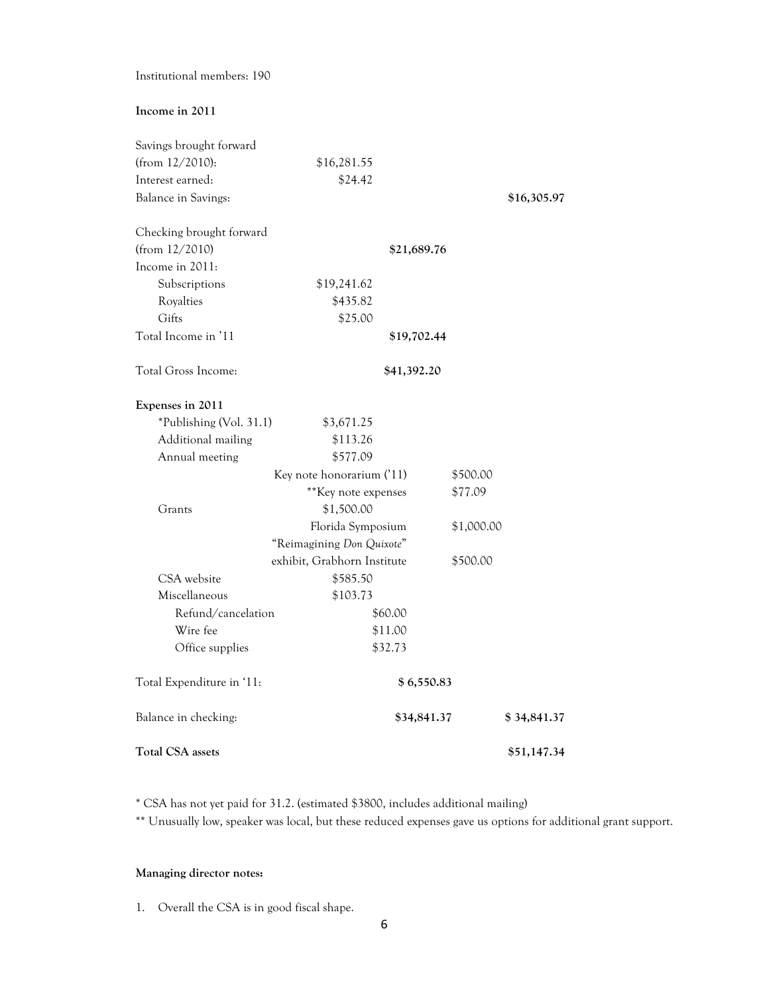# Institutional members: 190

# **Income in 2011**

| Savings brought forward    |                             |             |             |
|----------------------------|-----------------------------|-------------|-------------|
| (from 12/2010):            | \$16,281.55                 |             |             |
| Interest earned:           | \$24.42                     |             |             |
| <b>Balance in Savings:</b> |                             |             | \$16,305.97 |
| Checking brought forward   |                             |             |             |
| (from 12/2010)             |                             | \$21,689.76 |             |
| Income in 2011:            |                             |             |             |
| Subscriptions              | \$19,241.62                 |             |             |
| Royalties                  | \$435.82                    |             |             |
| Gifts                      | \$25.00                     |             |             |
| Total Income in '11        |                             | \$19,702.44 |             |
| Total Gross Income:        |                             | \$41,392.20 |             |
| Expenses in 2011           |                             |             |             |
| *Publishing (Vol. 31.1)    | \$3,671.25                  |             |             |
| Additional mailing         | \$113.26                    |             |             |
| Annual meeting             | \$577.09                    |             |             |
|                            | Key note honorarium ('11)   | \$500.00    |             |
|                            | ** Key note expenses        | \$77.09     |             |
| Grants                     | \$1,500.00                  |             |             |
|                            | Florida Symposium           | \$1,000.00  |             |
|                            | "Reimagining Don Quixote"   |             |             |
|                            | exhibit, Grabhorn Institute | \$500.00    |             |
| CSA website                | \$585.50                    |             |             |
| Miscellaneous              | \$103.73                    |             |             |
| Refund/cancelation         | \$60.00                     |             |             |
| Wire fee                   | \$11.00                     |             |             |
| Office supplies            | \$32.73                     |             |             |
| Total Expenditure in '11:  |                             | \$6,550.83  |             |
| Balance in checking:       |                             | \$34,841.37 | \$34,841.37 |
| <b>Total CSA assets</b>    |                             |             | \$51,147.34 |

\* CSA has not yet paid for 31.2. (estimated \$3800, includes additional mailing)

\*\* Unusually low, speaker was local, but these reduced expenses gave us options for additional grant support.

## **Managing director notes:**

1. Overall the CSA is in good fiscal shape.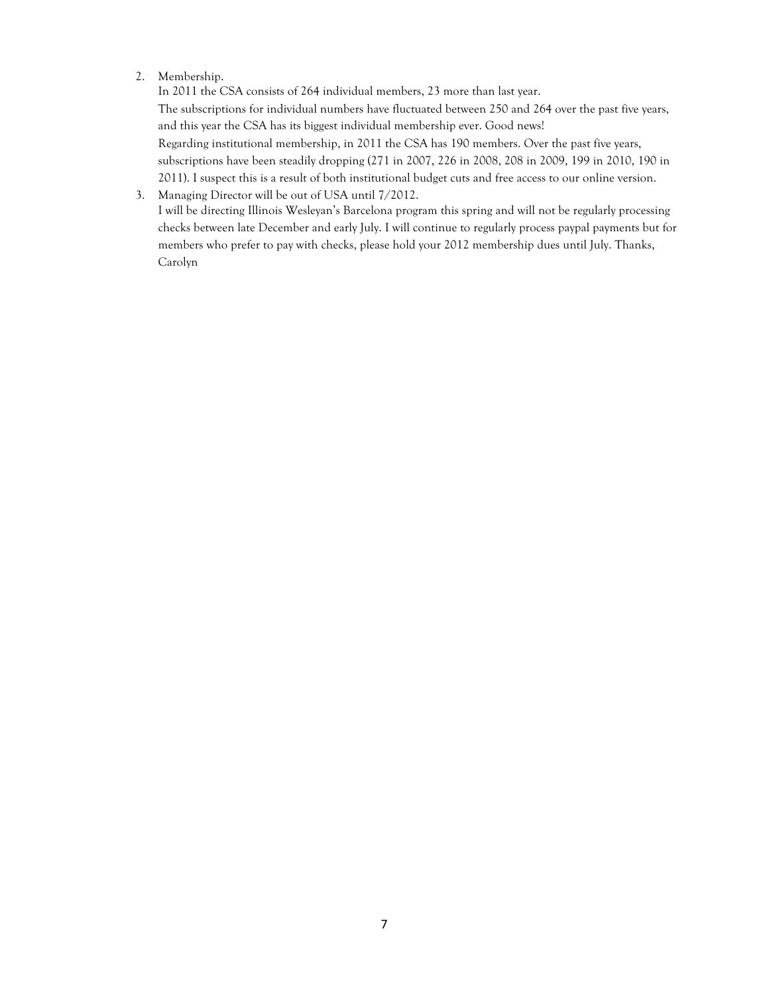# 2. Membership.

In 2011 the CSA consists of 264 individual members, 23 more than last year. The subscriptions for individual numbers have fluctuated between 250 and 264 over the past five years, and this year the CSA has its biggest individual membership ever. Good news! Regarding institutional membership, in 2011 the CSA has 190 members. Over the past five years, subscriptions have been steadily dropping (271 in 2007, 226 in 2008, 208 in 2009, 199 in 2010, 190 in 2011). I suspect this is a result of both institutional budget cuts and free access to our online version.

3. Managing Director will be out of USA until 7/2012. I will be directing Illinois Wesleyan's Barcelona program this spring and will not be regularly processing checks between late December and early July. I will continue to regularly process paypal payments but for members who prefer to pay with checks, please hold your 2012 membership dues until July. Thanks, Carolyn